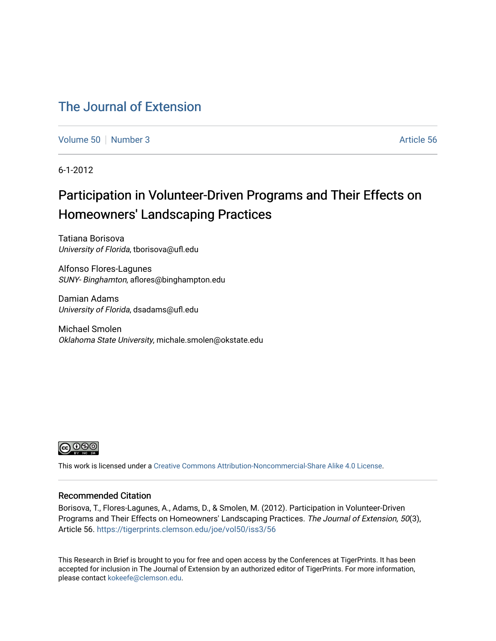# [The Journal of Extension](https://tigerprints.clemson.edu/joe)

[Volume 50](https://tigerprints.clemson.edu/joe/vol50) [Number 3](https://tigerprints.clemson.edu/joe/vol50/iss3) Article 56

6-1-2012

# Participation in Volunteer-Driven Programs and Their Effects on Homeowners' Landscaping Practices

Tatiana Borisova University of Florida, tborisova@ufl.edu

Alfonso Flores-Lagunes SUNY- Binghamton, aflores@binghampton.edu

Damian Adams University of Florida, dsadams@ufl.edu

Michael Smolen Oklahoma State University, michale.smolen@okstate.edu



This work is licensed under a [Creative Commons Attribution-Noncommercial-Share Alike 4.0 License.](https://creativecommons.org/licenses/by-nc-sa/4.0/)

#### Recommended Citation

Borisova, T., Flores-Lagunes, A., Adams, D., & Smolen, M. (2012). Participation in Volunteer-Driven Programs and Their Effects on Homeowners' Landscaping Practices. The Journal of Extension, 50(3), Article 56. <https://tigerprints.clemson.edu/joe/vol50/iss3/56>

This Research in Brief is brought to you for free and open access by the Conferences at TigerPrints. It has been accepted for inclusion in The Journal of Extension by an authorized editor of TigerPrints. For more information, please contact [kokeefe@clemson.edu](mailto:kokeefe@clemson.edu).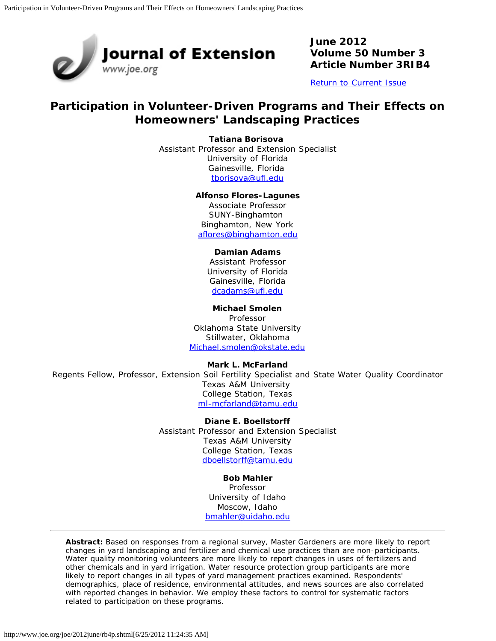

**June 2012 Volume 50 Number 3 Article Number 3RIB4**

[Return to Current Issue](http://www.joe.org/joe/2012june/)

# **Participation in Volunteer-Driven Programs and Their Effects on Homeowners' Landscaping Practices**

**Tatiana Borisova** 

Assistant Professor and Extension Specialist University of Florida Gainesville, Florida [tborisova@ufl.edu](mailto:tborisova@ufl.edu)

#### **Alfonso Flores-Lagunes**

Associate Professor SUNY-Binghamton Binghamton, New York [aflores@binghamton.edu](mailto:aflores@binghamton.edu)

#### **Damian Adams**

Assistant Professor University of Florida Gainesville, Florida [dcadams@ufl.edu](mailto:dcadams@ufl.edu)

**Michael Smolen**

Professor Oklahoma State University Stillwater, Oklahoma [Michael.smolen@okstate.edu](mailto:Michael.smolen@okstate.edu)

**Mark L. McFarland**

Regents Fellow, Professor, Extension Soil Fertility Specialist and State Water Quality Coordinator Texas A&M University College Station, Texas [ml-mcfarland@tamu.edu](mailto:ml-mcfarland@tamu.edu)

> **Diane E. Boellstorff** Assistant Professor and Extension Specialist Texas A&M University College Station, Texas [dboellstorff@tamu.edu](mailto:dboellstorff@tamu.edu)

> > **Bob Mahler** Professor University of Idaho

Moscow, Idaho [bmahler@uidaho.edu](mailto:bmahler@uidaho.edu)

*Abstract: Based on responses from a regional survey, Master Gardeners are more likely to report changes in yard landscaping and fertilizer and chemical use practices than are non-participants. Water quality monitoring volunteers are more likely to report changes in uses of fertilizers and other chemicals and in yard irrigation. Water resource protection group participants are more likely to report changes in all types of yard management practices examined. Respondents' demographics, place of residence, environmental attitudes, and news sources are also correlated with reported changes in behavior. We employ these factors to control for systematic factors related to participation on these programs.*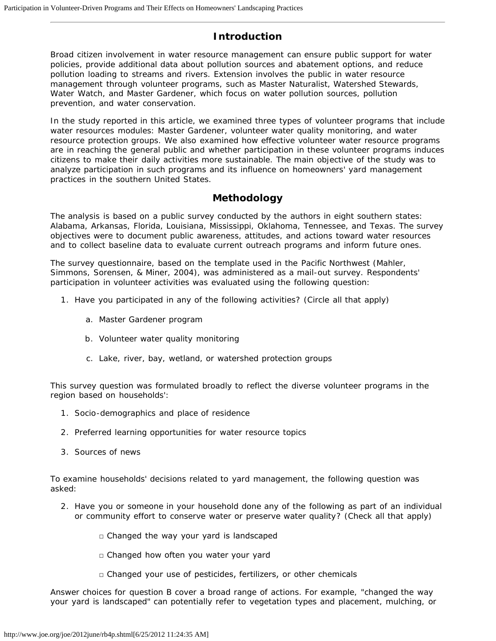## **Introduction**

Broad citizen involvement in water resource management can ensure public support for water policies, provide additional data about pollution sources and abatement options, and reduce pollution loading to streams and rivers. Extension involves the public in water resource management through volunteer programs, such as Master Naturalist, Watershed Stewards, Water Watch, and Master Gardener, which focus on water pollution sources, pollution prevention, and water conservation.

In the study reported in this article, we examined three types of volunteer programs that include water resources modules: Master Gardener, volunteer water quality monitoring, and water resource protection groups. We also examined how effective volunteer water resource programs are in reaching the general public and whether participation in these volunteer programs induces citizens to make their daily activities more sustainable. The main objective of the study was to analyze participation in such programs and its influence on homeowners' yard management practices in the southern United States.

#### **Methodology**

The analysis is based on a public survey conducted by the authors in eight southern states: Alabama, Arkansas, Florida, Louisiana, Mississippi, Oklahoma, Tennessee, and Texas. The survey objectives were to document public awareness, attitudes, and actions toward water resources and to collect baseline data to evaluate current outreach programs and inform future ones.

The survey questionnaire, based on the template used in the Pacific Northwest (Mahler, Simmons, Sorensen, & Miner, 2004), was administered as a mail-out survey. Respondents' participation in volunteer activities was evaluated using the following question:

- 1. Have you participated in any of the following activities? (Circle all that apply)
	- a. Master Gardener program
	- b. Volunteer water quality monitoring
	- c. Lake, river, bay, wetland, or watershed protection groups

This survey question was formulated broadly to reflect the diverse volunteer programs in the region based on households':

- 1. Socio-demographics and place of residence
- 2. Preferred learning opportunities for water resource topics
- 3. Sources of news

To examine households' decisions related to yard management, the following question was asked:

- 2. Have you or someone in your household done any of the following as part of an individual or community effort to conserve water or preserve water quality? (Check all that apply)
	- $\Box$  Changed the way your yard is landscaped
	- □ Changed how often you water your yard
	- □ Changed your use of pesticides, fertilizers, or other chemicals

Answer choices for question B cover a broad range of actions. For example, "changed the way your yard is landscaped" can potentially refer to vegetation types and placement, mulching, or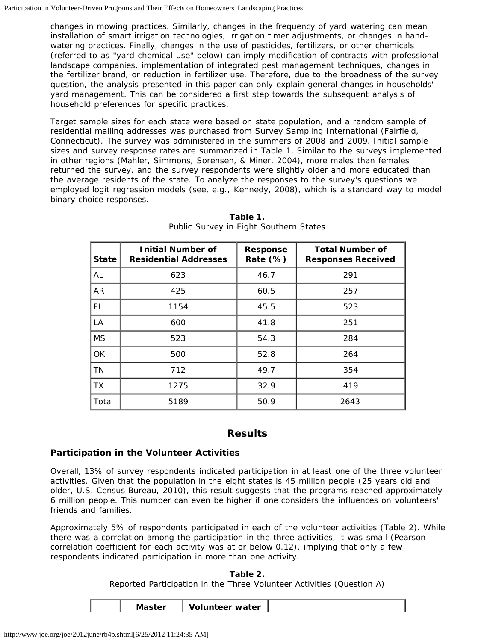changes in mowing practices. Similarly, changes in the frequency of yard watering can mean installation of smart irrigation technologies, irrigation timer adjustments, or changes in handwatering practices. Finally, changes in the use of pesticides, fertilizers, or other chemicals (referred to as "yard chemical use" below) can imply modification of contracts with professional landscape companies, implementation of integrated pest management techniques, changes in the fertilizer brand, or reduction in fertilizer use. Therefore, due to the broadness of the survey question, the analysis presented in this paper can only explain general changes in households' yard management. This can be considered a first step towards the subsequent analysis of household preferences for specific practices.

Target sample sizes for each state were based on state population, and a random sample of residential mailing addresses was purchased from Survey Sampling International (Fairfield, Connecticut). The survey was administered in the summers of 2008 and 2009. Initial sample sizes and survey response rates are summarized in Table 1. Similar to the surveys implemented in other regions (Mahler, Simmons, Sorensen, & Miner, 2004), more males than females returned the survey, and the survey respondents were slightly older and more educated than the average residents of the state. To analyze the responses to the survey's questions we employed logit regression models (see, e.g., Kennedy, 2008), which is a standard way to model binary choice responses.

| <b>State</b> | <b>Initial Number of</b><br><b>Residential Addresses</b> | <b>Response</b><br>Rate (%) | <b>Total Number of</b><br><b>Responses Received</b> |
|--------------|----------------------------------------------------------|-----------------------------|-----------------------------------------------------|
| AL           | 623                                                      | 46.7                        | 291                                                 |
| AR           | 425                                                      | 60.5                        | 257                                                 |
| FL.          | 1154                                                     | 45.5                        | 523                                                 |
| LA           | 600                                                      | 41.8                        | 251                                                 |
| <b>MS</b>    | 523                                                      | 54.3                        | 284                                                 |
| OK           | 500                                                      | 52.8                        | 264                                                 |
| <b>TN</b>    | 712                                                      | 49.7                        | 354                                                 |
| <b>TX</b>    | 1275                                                     | 32.9                        | 419                                                 |
| Total        | 5189                                                     | 50.9                        | 2643                                                |

**Table 1.** Public Survey in Eight Southern States

## **Results**

#### **Participation in the Volunteer Activities**

Overall, 13% of survey respondents indicated participation in at least one of the three volunteer activities. Given that the population in the eight states is 45 million people (25 years old and older, U.S. Census Bureau, 2010), this result suggests that the programs reached approximately 6 million people. This number can even be higher if one considers the influences on volunteers' friends and families.

Approximately 5% of respondents participated in each of the volunteer activities (Table 2). While there was a correlation among the participation in the three activities, it was small (Pearson correlation coefficient for each activity was at or below 0.12), implying that only a few respondents indicated participation in more than one activity.

> **Table 2.** Reported Participation in the Three Volunteer Activities (Question A)

**Master Volunteer water**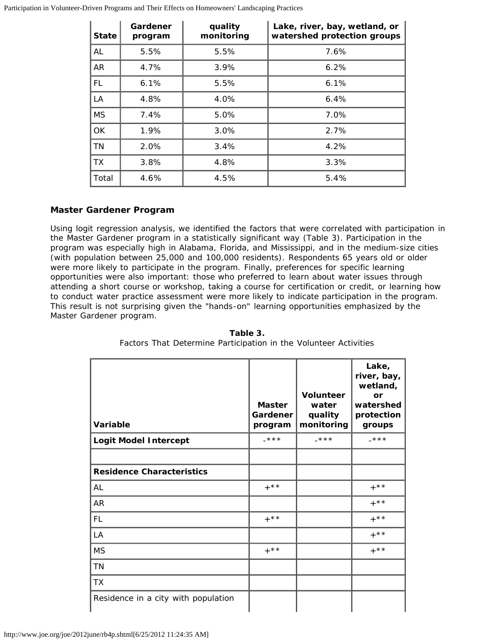| <b>State</b> | Gardener<br>program | quality<br>monitoring | Lake, river, bay, wetland, or<br>watershed protection groups |
|--------------|---------------------|-----------------------|--------------------------------------------------------------|
| AL           | 5.5%                | 5.5%                  | 7.6%                                                         |
| <b>AR</b>    | 4.7%                | 3.9%                  | 6.2%                                                         |
| <b>FL</b>    | 6.1%                | 5.5%                  | 6.1%                                                         |
| LA           | 4.8%                | 4.0%                  | 6.4%                                                         |
| <b>MS</b>    | 7.4%                | 5.0%                  | 7.0%                                                         |
| <b>OK</b>    | 1.9%                | 3.0%                  | 2.7%                                                         |
| <b>TN</b>    | 2.0%                | 3.4%                  | 4.2%                                                         |
| <b>TX</b>    | 3.8%                | 4.8%                  | 3.3%                                                         |
| Total        | 4.6%                | 4.5%                  | 5.4%                                                         |

#### *Master Gardener Program*

Using logit regression analysis, we identified the factors that were correlated with participation in the Master Gardener program in a statistically significant way (Table 3). Participation in the program was especially high in Alabama, Florida, and Mississippi, and in the medium-size cities (with population between 25,000 and 100,000 residents). Respondents 65 years old or older were more likely to participate in the program. Finally, preferences for specific learning opportunities were also important: those who preferred to learn about water issues through attending a short course or workshop, taking a course for certification or credit, or learning how to conduct water practice assessment were more likely to indicate participation in the program. This result is not surprising given the "hands-on" learning opportunities emphasized by the Master Gardener program.

| Variable                            | <b>Master</b><br>Gardener<br>program | <b>Volunteer</b><br>water<br>quality<br>monitoring | Lake,<br>river, bay,<br>wetland,<br>or<br>watershed<br>protection<br>groups |
|-------------------------------------|--------------------------------------|----------------------------------------------------|-----------------------------------------------------------------------------|
| <b>Logit Model Intercept</b>        | $***$                                | $-\star\star\star$                                 | $-***$                                                                      |
|                                     |                                      |                                                    |                                                                             |
| <b>Residence Characteristics</b>    |                                      |                                                    |                                                                             |
| AL                                  | $+$ **                               |                                                    | $+$ * *                                                                     |
| <b>AR</b>                           |                                      |                                                    | $+***$                                                                      |
| <b>FL</b>                           | $+$ * *                              |                                                    | $+***$                                                                      |
| LA                                  |                                      |                                                    | $+$ * *                                                                     |
| <b>MS</b>                           | $+$ **                               |                                                    | $+$ * *                                                                     |
| <b>TN</b>                           |                                      |                                                    |                                                                             |
| <b>TX</b>                           |                                      |                                                    |                                                                             |
| Residence in a city with population |                                      |                                                    |                                                                             |

**Table 3.** Factors That Determine Participation in the Volunteer Activities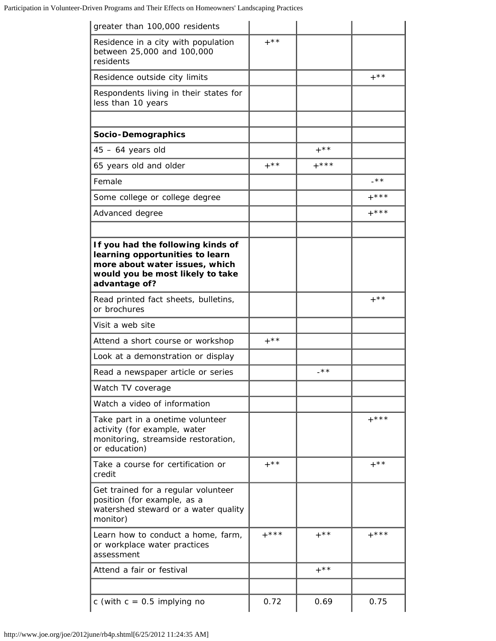| greater than 100,000 residents                                                                                                                              |         |         |         |
|-------------------------------------------------------------------------------------------------------------------------------------------------------------|---------|---------|---------|
| Residence in a city with population<br>between 25,000 and 100,000<br>residents                                                                              | $+***$  |         |         |
| Residence outside city limits                                                                                                                               |         |         | $+$ * * |
| Respondents living in their states for<br>less than 10 years                                                                                                |         |         |         |
|                                                                                                                                                             |         |         |         |
| Socio-Demographics                                                                                                                                          |         | $+$ * * |         |
| $45 - 64$ years old                                                                                                                                         | $+***$  | $+***$  |         |
| 65 years old and older                                                                                                                                      |         |         | $-***$  |
| Female                                                                                                                                                      |         |         |         |
| Some college or college degree                                                                                                                              |         |         | $+***$  |
| Advanced degree                                                                                                                                             |         |         | $+***$  |
| If you had the following kinds of<br>learning opportunities to learn<br>more about water issues, which<br>would you be most likely to take<br>advantage of? |         |         |         |
| Read printed fact sheets, bulletins,<br>or brochures                                                                                                        |         |         | $+$ * * |
| Visit a web site                                                                                                                                            |         |         |         |
| Attend a short course or workshop                                                                                                                           | $+***$  |         |         |
| Look at a demonstration or display                                                                                                                          |         |         |         |
| Read a newspaper article or series                                                                                                                          |         | _**     |         |
| Watch TV coverage                                                                                                                                           |         |         |         |
| Watch a video of information                                                                                                                                |         |         |         |
| Take part in a onetime volunteer<br>activity (for example, water<br>monitoring, streamside restoration,<br>or education)                                    |         |         | $+***$  |
| Take a course for certification or<br>credit                                                                                                                | $+$ * * |         | $+$ * * |
| Get trained for a regular volunteer<br>position (for example, as a<br>watershed steward or a water quality<br>monitor)                                      |         |         |         |
| Learn how to conduct a home, farm,<br>or workplace water practices<br>assessment                                                                            | $+***$  | $+***$  | $+***$  |
| Attend a fair or festival                                                                                                                                   |         | $+$ * * |         |
|                                                                                                                                                             |         |         |         |
| c (with $c = 0.5$ implying no                                                                                                                               | 0.72    | 0.69    | 0.75    |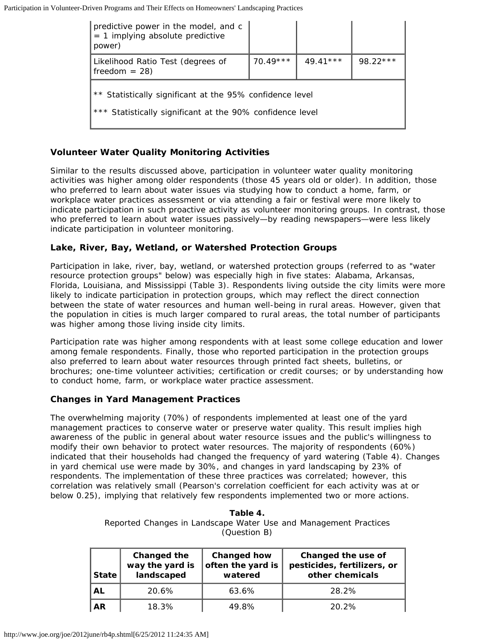| predictive power in the model, and c<br>$= 1$ implying absolute predictive<br>power)                                  |            |            |            |
|-----------------------------------------------------------------------------------------------------------------------|------------|------------|------------|
| Likelihood Ratio Test (degrees of<br>$freedom = 28)$                                                                  | $70.49***$ | $49.41***$ | $98.22***$ |
| ** Statistically significant at the 95% confidence level<br>*** Statistically significant at the 90% confidence level |            |            |            |

#### *Volunteer Water Quality Monitoring Activities*

Similar to the results discussed above, participation in volunteer water quality monitoring activities was higher among older respondents (those 45 years old or older). In addition, those who preferred to learn about water issues via studying how to conduct a home, farm, or workplace water practices assessment or via attending a fair or festival were more likely to indicate participation in such proactive activity as volunteer monitoring groups. In contrast, those who preferred to learn about water issues passively—by reading newspapers—were less likely indicate participation in volunteer monitoring.

#### *Lake, River, Bay, Wetland, or Watershed Protection Groups*

Participation in lake, river, bay, wetland, or watershed protection groups (referred to as "water resource protection groups" below) was especially high in five states: Alabama, Arkansas, Florida, Louisiana, and Mississippi (Table 3). Respondents living outside the city limits were more likely to indicate participation in protection groups, which may reflect the direct connection between the state of water resources and human well-being in rural areas. However, given that the population in cities is much larger compared to rural areas, the total number of participants was higher among those living inside city limits.

Participation rate was higher among respondents with at least some college education and lower among female respondents. Finally, those who reported participation in the protection groups also preferred to learn about water resources through printed fact sheets, bulletins, or brochures; one-time volunteer activities; certification or credit courses; or by understanding how to conduct home, farm, or workplace water practice assessment.

#### **Changes in Yard Management Practices**

The overwhelming majority (70%) of respondents implemented at least one of the yard management practices to conserve water or preserve water quality. This result implies high awareness of the public in general about water resource issues and the public's willingness to modify their own behavior to protect water resources. The majority of respondents (60%) indicated that their households had changed the frequency of yard watering (Table 4). Changes in yard chemical use were made by 30%, and changes in yard landscaping by 23% of respondents. The implementation of these three practices was correlated; however, this correlation was relatively small (Pearson's correlation coefficient for each activity was at or below 0.25), implying that relatively few respondents implemented two or more actions.

> **Table 4.** Reported Changes in Landscape Water Use and Management Practices (Question B)

| <b>State</b> | Changed the<br>way the yard is<br>landscaped | Changed how<br>often the yard is<br>watered | Changed the use of<br>pesticides, fertilizers, or<br>other chemicals |
|--------------|----------------------------------------------|---------------------------------------------|----------------------------------------------------------------------|
| AL           | 20.6%                                        | 63.6%                                       | 28.2%                                                                |
| <b>AR</b>    | 18.3%                                        | 49.8%                                       | $20.2\%$                                                             |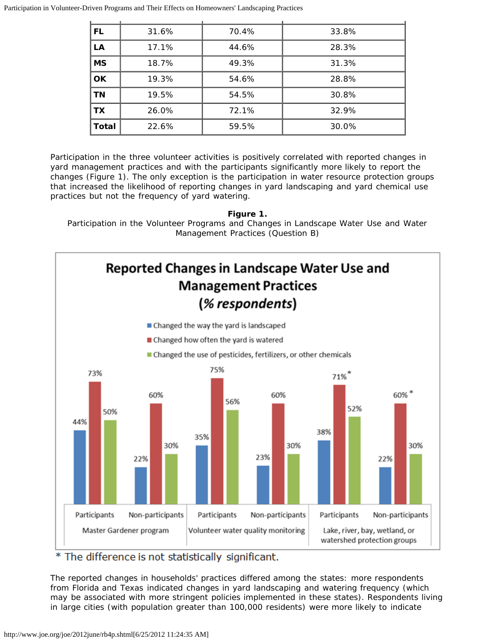| <b>FL</b>    | 31.6% | 70.4% | 33.8% |
|--------------|-------|-------|-------|
| LA           | 17.1% | 44.6% | 28.3% |
| <b>MS</b>    | 18.7% | 49.3% | 31.3% |
| <b>OK</b>    | 19.3% | 54.6% | 28.8% |
| <b>TN</b>    | 19.5% | 54.5% | 30.8% |
| <b>TX</b>    | 26.0% | 72.1% | 32.9% |
| <b>Total</b> | 22.6% | 59.5% | 30.0% |

Participation in the three volunteer activities is positively correlated with reported changes in yard management practices and with the participants significantly more likely to report the changes (Figure 1). The only exception is the participation in water resource protection groups that increased the likelihood of reporting changes in yard landscaping and yard chemical use practices but not the frequency of yard watering.

**Figure 1.** Participation in the Volunteer Programs and Changes in Landscape Water Use and Water Management Practices (Question B)



\* The difference is not statistically significant.

The reported changes in households' practices differed among the states: more respondents from Florida and Texas indicated changes in yard landscaping and watering frequency (which may be associated with more stringent policies implemented in these states). Respondents living in large cities (with population greater than 100,000 residents) were more likely to indicate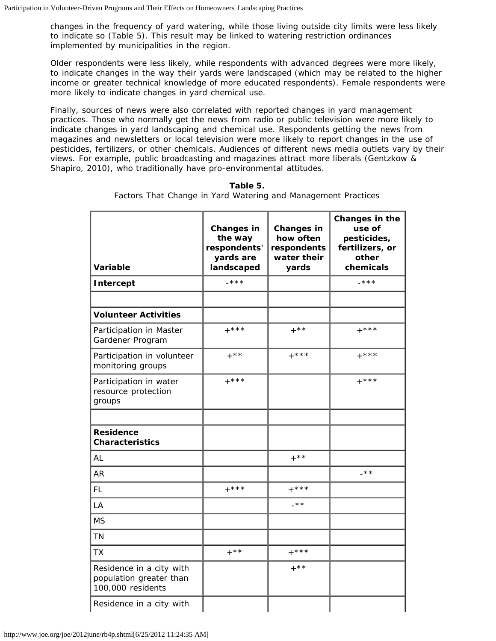changes in the frequency of yard watering, while those living outside city limits were less likely to indicate so (Table 5). This result may be linked to watering restriction ordinances implemented by municipalities in the region.

Older respondents were less likely, while respondents with advanced degrees were more likely, to indicate changes in the way their yards were landscaped (which may be related to the higher income or greater technical knowledge of more educated respondents). Female respondents were more likely to indicate changes in yard chemical use.

Finally, sources of news were also correlated with reported changes in yard management practices. Those who normally get the news from radio or public television were more likely to indicate changes in yard landscaping and chemical use. Respondents getting the news from magazines and newsletters or local television were more likely to report changes in the use of pesticides, fertilizers, or other chemicals. Audiences of different news media outlets vary by their views. For example, public broadcasting and magazines attract more liberals (Gentzkow & Shapiro, 2010), who traditionally have pro-environmental attitudes.

| Variable                                                                 | Changes in<br>the way<br>respondents'<br>yards are<br>landscaped | Changes in<br>how often<br>respondents<br>water their<br>yards | Changes in the<br>use of<br>pesticides,<br>fertilizers, or<br>other<br>chemicals |
|--------------------------------------------------------------------------|------------------------------------------------------------------|----------------------------------------------------------------|----------------------------------------------------------------------------------|
| <b>Intercept</b>                                                         | $-***$                                                           |                                                                | $-***$                                                                           |
|                                                                          |                                                                  |                                                                |                                                                                  |
| <b>Volunteer Activities</b>                                              |                                                                  |                                                                |                                                                                  |
| Participation in Master<br>Gardener Program                              | $+***$                                                           | $+$ **                                                         | $+***$                                                                           |
| Participation in volunteer<br>monitoring groups                          | $+$ * *                                                          | $+***$                                                         | $+***$                                                                           |
| Participation in water<br>resource protection<br>groups                  | $+***$                                                           |                                                                | $+***$                                                                           |
|                                                                          |                                                                  |                                                                |                                                                                  |
| <b>Residence</b><br><b>Characteristics</b>                               |                                                                  |                                                                |                                                                                  |
| <b>AL</b>                                                                |                                                                  | $+***$                                                         |                                                                                  |
| <b>AR</b>                                                                |                                                                  |                                                                | $-***$                                                                           |
| <b>FL</b>                                                                | $+***$                                                           | $+***$                                                         |                                                                                  |
| LA                                                                       |                                                                  | $-***$                                                         |                                                                                  |
| <b>MS</b>                                                                |                                                                  |                                                                |                                                                                  |
| <b>TN</b>                                                                |                                                                  |                                                                |                                                                                  |
| <b>TX</b>                                                                | $+$ * *                                                          | $+***$                                                         |                                                                                  |
| Residence in a city with<br>population greater than<br>100,000 residents |                                                                  | $+$ **                                                         |                                                                                  |
| Residence in a city with                                                 |                                                                  |                                                                |                                                                                  |

**Table 5.** Factors That Change in Yard Watering and Management Practices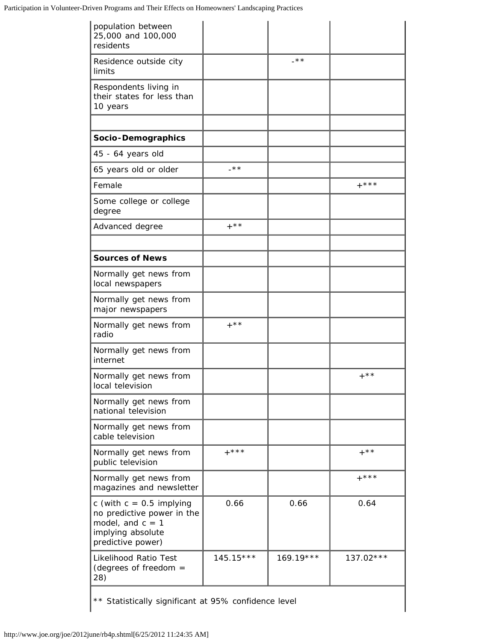| population between<br>25,000 and 100,000<br>residents                                                                    |             |             |             |
|--------------------------------------------------------------------------------------------------------------------------|-------------|-------------|-------------|
| Residence outside city<br>limits                                                                                         |             | -**         |             |
| Respondents living in<br>their states for less than<br>10 years                                                          |             |             |             |
|                                                                                                                          |             |             |             |
| Socio-Demographics                                                                                                       |             |             |             |
| 45 - 64 years old                                                                                                        |             |             |             |
| 65 years old or older                                                                                                    | $-$ **      |             |             |
| Female                                                                                                                   |             |             | $+***$      |
| Some college or college<br>degree                                                                                        |             |             |             |
| Advanced degree                                                                                                          | $+$ * *     |             |             |
| <b>Sources of News</b>                                                                                                   |             |             |             |
| Normally get news from<br>local newspapers                                                                               |             |             |             |
| Normally get news from<br>major newspapers                                                                               |             |             |             |
| Normally get news from<br>radio                                                                                          | $+$ * *     |             |             |
| Normally get news from<br>internet                                                                                       |             |             |             |
| Normally get news from<br>local television                                                                               |             |             | $+$ * *     |
| Normally get news from<br>national television                                                                            |             |             |             |
| Normally get news from<br>cable television                                                                               |             |             |             |
| Normally get news from<br>public television                                                                              | $+***$      |             | $+$ * *     |
| Normally get news from<br>magazines and newsletter                                                                       |             |             | $+***$      |
| c (with $c = 0.5$ implying<br>no predictive power in the<br>model, and $c = 1$<br>implying absolute<br>predictive power) | 0.66        | 0.66        | 0.64        |
| Likelihood Ratio Test<br>(degrees of freedom $=$<br>28)                                                                  | $145.15***$ | $169.19***$ | $137.02***$ |

\*\* Statistically significant at 95% confidence level

 $\overline{\phantom{a}}$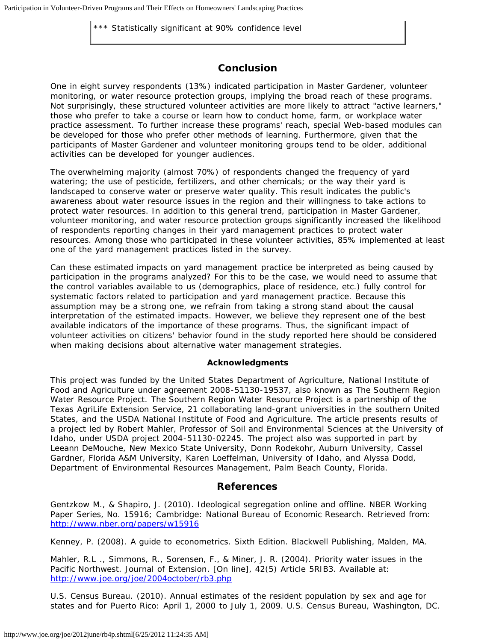\*\*\* Statistically significant at 90% confidence level

## **Conclusion**

One in eight survey respondents (13%) indicated participation in Master Gardener, volunteer monitoring, or water resource protection groups, implying the broad reach of these programs. Not surprisingly, these structured volunteer activities are more likely to attract "active learners," those who prefer to take a course or learn how to conduct home, farm, or workplace water practice assessment. To further increase these programs' reach, special Web-based modules can be developed for those who prefer other methods of learning. Furthermore, given that the participants of Master Gardener and volunteer monitoring groups tend to be older, additional activities can be developed for younger audiences.

The overwhelming majority (almost 70%) of respondents changed the frequency of yard watering; the use of pesticide, fertilizers, and other chemicals; or the way their yard is landscaped to conserve water or preserve water quality. This result indicates the public's awareness about water resource issues in the region and their willingness to take actions to protect water resources. In addition to this general trend, participation in Master Gardener, volunteer monitoring, and water resource protection groups significantly increased the likelihood of respondents reporting changes in their yard management practices to protect water resources. Among those who participated in these volunteer activities, 85% implemented at least one of the yard management practices listed in the survey.

Can these estimated impacts on yard management practice be interpreted as being caused by participation in the programs analyzed? For this to be the case, we would need to assume that the control variables available to us (demographics, place of residence, etc.) fully control for systematic factors related to participation and yard management practice. Because this assumption may be a strong one, we refrain from taking a strong stand about the causal interpretation of the estimated impacts. However, we believe they represent one of the best available indicators of the importance of these programs. Thus, the significant impact of volunteer activities on citizens' behavior found in the study reported here should be considered when making decisions about alternative water management strategies.

#### **Acknowledgments**

This project was funded by the United States Department of Agriculture, National Institute of Food and Agriculture under agreement 2008-51130-19537, also known as The Southern Region Water Resource Project. The Southern Region Water Resource Project is a partnership of the Texas AgriLife Extension Service, 21 collaborating land-grant universities in the southern United States, and the USDA National Institute of Food and Agriculture. The article presents results of a project led by Robert Mahler, Professor of Soil and Environmental Sciences at the University of Idaho, under USDA project 2004-51130-02245. The project also was supported in part by Leeann DeMouche, New Mexico State University, Donn Rodekohr, Auburn University, Cassel Gardner, Florida A&M University, Karen Loeffelman, University of Idaho, and Alyssa Dodd, Department of Environmental Resources Management, Palm Beach County, Florida.

#### **References**

Gentzkow M., & Shapiro, J. (2010). Ideological segregation online and offline. *NBER Working Paper Series,* No. 15916; Cambridge: National Bureau of Economic Research. Retrieved from: <http://www.nber.org/papers/w15916>

Kenney, P. (2008). *A guide to econometrics*. Sixth Edition. Blackwell Publishing, Malden, MA.

Mahler, R.L ., Simmons, R., Sorensen, F., & Miner, J. R. (2004). Priority water issues in the Pacific Northwest. *Journal of Extension*. [On line], 42(5) Article 5RIB3. Available at: <http://www.joe.org/joe/2004october/rb3.php>

U.S. Census Bureau. (2010). Annual estimates of the resident population by sex and age for states and for Puerto Rico: April 1, 2000 to July 1, 2009. U.S. Census Bureau, Washington, DC.